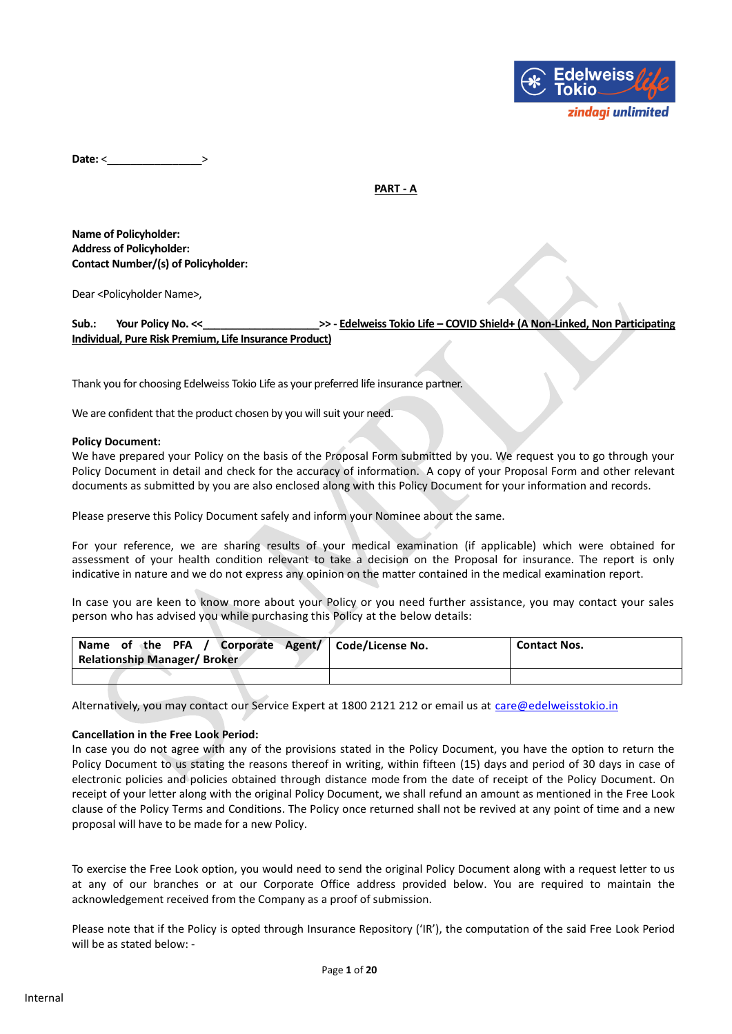

**Date:** <\_\_\_\_\_\_\_\_\_\_\_\_\_\_\_\_>

## **PART - A**

**Name of Policyholder: Address of Policyholder: Contact Number/(s) of Policyholder:**

Dear <Policyholder Name>,

**Sub.: Your Policy No. <<\_\_\_\_\_\_\_\_\_\_\_\_\_\_\_\_\_\_\_\_>> - Edelweiss Tokio Life – COVID Shield+ (A Non-Linked, Non Participating Individual, Pure Risk Premium, Life Insurance Product)**

Thank you for choosing Edelweiss Tokio Life as your preferred life insurance partner.

We are confident that the product chosen by you will suit your need.

#### **Policy Document:**

We have prepared your Policy on the basis of the Proposal Form submitted by you. We request you to go through your Policy Document in detail and check for the accuracy of information. A copy of your Proposal Form and other relevant documents as submitted by you are also enclosed along with this Policy Document for your information and records.

Please preserve this Policy Document safely and inform your Nominee about the same.

For your reference, we are sharing results of your medical examination (if applicable) which were obtained for assessment of your health condition relevant to take a decision on the Proposal for insurance. The report is only indicative in nature and we do not express any opinion on the matter contained in the medical examination report.

In case you are keen to know more about your Policy or you need further assistance, you may contact your sales person who has advised you while purchasing this Policy at the below details:

| Name of the PFA / Corporate Agent/   Code/License No.<br><b>Relationship Manager/Broker</b> | <b>Contact Nos.</b> |
|---------------------------------------------------------------------------------------------|---------------------|
|                                                                                             |                     |

Alternatively, you may contact our Service Expert at 1800 2121 212 or email us at [care@edelweisstokio.in](mailto:care@edelweisstokio.in)

#### **Cancellation in the Free Look Period:**

In case you do not agree with any of the provisions stated in the Policy Document, you have the option to return the Policy Document to us stating the reasons thereof in writing, within fifteen (15) days and period of 30 days in case of electronic policies and policies obtained through distance mode from the date of receipt of the Policy Document. On receipt of your letter along with the original Policy Document, we shall refund an amount as mentioned in the Free Look clause of the Policy Terms and Conditions. The Policy once returned shall not be revived at any point of time and a new proposal will have to be made for a new Policy.

To exercise the Free Look option, you would need to send the original Policy Document along with a request letter to us at any of our branches or at our Corporate Office address provided below. You are required to maintain the acknowledgement received from the Company as a proof of submission.

Please note that if the Policy is opted through Insurance Repository ('IR'), the computation of the said Free Look Period will be as stated below: -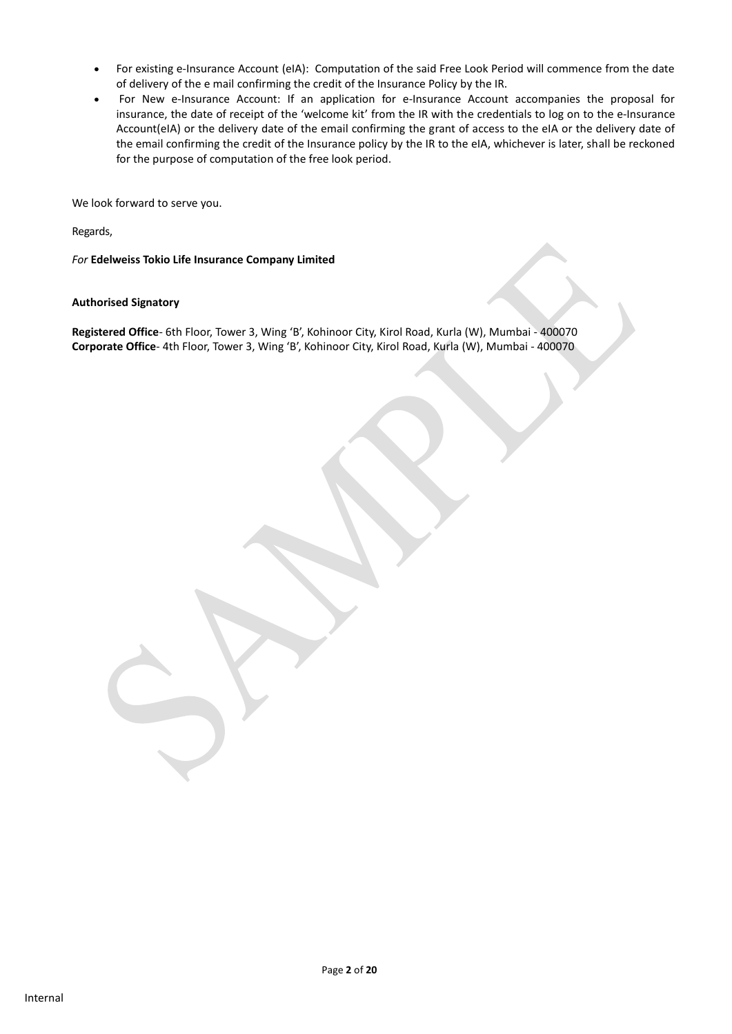- For existing e-Insurance Account (eIA): Computation of the said Free Look Period will commence from the date of delivery of the e mail confirming the credit of the Insurance Policy by the IR.
- For New e-Insurance Account: If an application for e-Insurance Account accompanies the proposal for insurance, the date of receipt of the 'welcome kit' from the IR with the credentials to log on to the e-Insurance Account(eIA) or the delivery date of the email confirming the grant of access to the eIA or the delivery date of the email confirming the credit of the Insurance policy by the IR to the eIA, whichever is later, shall be reckoned for the purpose of computation of the free look period.

We look forward to serve you.

Regards,

*For* **Edelweiss Tokio Life Insurance Company Limited**

#### **Authorised Signatory**

**Registered Office**- 6th Floor, Tower 3, Wing 'B', Kohinoor City, Kirol Road, Kurla (W), Mumbai ‐ 400070 **Corporate Office**- 4th Floor, Tower 3, Wing 'B', Kohinoor City, Kirol Road, Kurla (W), Mumbai ‐ 400070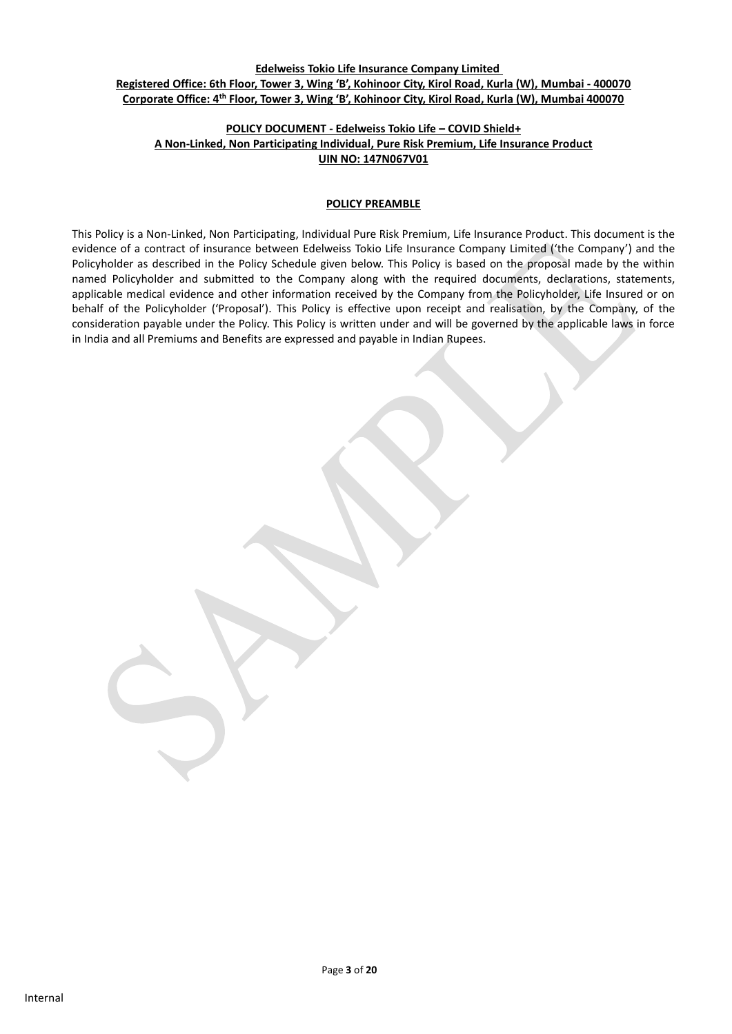### **Edelweiss Tokio Life Insurance Company Limited Registered Office: 6th Floor, Tower 3, Wing 'B', Kohinoor City, Kirol Road, Kurla (W), Mumbai ‐ 400070 Corporate Office: 4th Floor, Tower 3, Wing 'B', Kohinoor City, Kirol Road, Kurla (W), Mumbai 400070**

### **POLICY DOCUMENT - Edelweiss Tokio Life – COVID Shield+ A Non-Linked, Non Participating Individual, Pure Risk Premium, Life Insurance Product UIN NO: 147N067V01**

## **POLICY PREAMBLE**

This Policy is a Non-Linked, Non Participating, Individual Pure Risk Premium, Life Insurance Product. This document is the evidence of a contract of insurance between Edelweiss Tokio Life Insurance Company Limited ('the Company') and the Policyholder as described in the Policy Schedule given below. This Policy is based on the proposal made by the within named Policyholder and submitted to the Company along with the required documents, declarations, statements, applicable medical evidence and other information received by the Company from the Policyholder, Life Insured or on behalf of the Policyholder ('Proposal'). This Policy is effective upon receipt and realisation, by the Company, of the consideration payable under the Policy. This Policy is written under and will be governed by the applicable laws in force in India and all Premiums and Benefits are expressed and payable in Indian Rupees.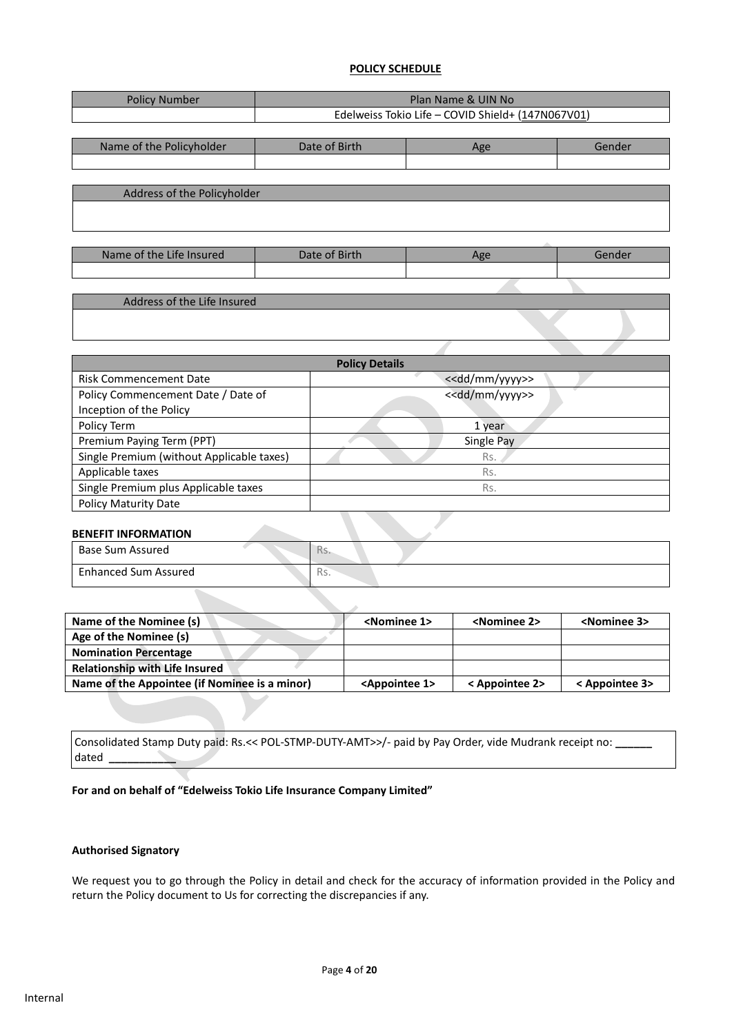#### **POLICY SCHEDULE**

| <b>Policy Number</b>        |               | Plan Name & UIN No                                |        |
|-----------------------------|---------------|---------------------------------------------------|--------|
|                             |               | Edelweiss Tokio Life - COVID Shield+ (147N067V01) |        |
|                             |               |                                                   |        |
| Name of the Policyholder    | Date of Birth | Age                                               | Gender |
|                             |               |                                                   |        |
|                             |               |                                                   |        |
| Address of the Policyholder |               |                                                   |        |
|                             |               |                                                   |        |
|                             |               |                                                   |        |
|                             |               |                                                   |        |

| Name of the Life Insured | Date of Birth | endei |
|--------------------------|---------------|-------|
|                          |               |       |

# Address of the Life Insured

|                                           | <b>Policy Details</b>         |
|-------------------------------------------|-------------------------------|
| <b>Risk Commencement Date</b>             | < <dd mm="" yyyy="">&gt;</dd> |
| Policy Commencement Date / Date of        | < <dd mm="" yyyy="">&gt;</dd> |
| Inception of the Policy                   |                               |
| Policy Term                               | 1 year                        |
| Premium Paying Term (PPT)                 | Single Pay                    |
| Single Premium (without Applicable taxes) | Rs.                           |
| Applicable taxes                          | Rs.                           |
| Single Premium plus Applicable taxes      | Rs.                           |
| <b>Policy Maturity Date</b>               |                               |

#### **BENEFIT INFORMATION**

| Base Sum Assured            | 1.3.                   |
|-----------------------------|------------------------|
| <b>Enhanced Sum Assured</b> | D <sub>c</sub><br>۱۱၁. |

| Name of the Nominee (s)                       | <nominee 1=""></nominee>     | <nominee 2=""></nominee> | <nominee 3=""></nominee> |
|-----------------------------------------------|------------------------------|--------------------------|--------------------------|
| Age of the Nominee (s)                        |                              |                          |                          |
| <b>Nomination Percentage</b>                  |                              |                          |                          |
| <b>Relationship with Life Insured</b>         |                              |                          |                          |
| Name of the Appointee (if Nominee is a minor) | <appointee 1=""></appointee> | < Appointee 2>           | < Appointee 3>           |

Consolidated Stamp Duty paid: Rs.<< POL-STMP-DUTY-AMT>>/- paid by Pay Order, vide Mudrank receipt no: **\_\_\_\_\_\_**  dated **\_\_\_\_\_\_\_\_\_\_\_**

**For and on behalf of "Edelweiss Tokio Life Insurance Company Limited"**

### **Authorised Signatory**

We request you to go through the Policy in detail and check for the accuracy of information provided in the Policy and return the Policy document to Us for correcting the discrepancies if any.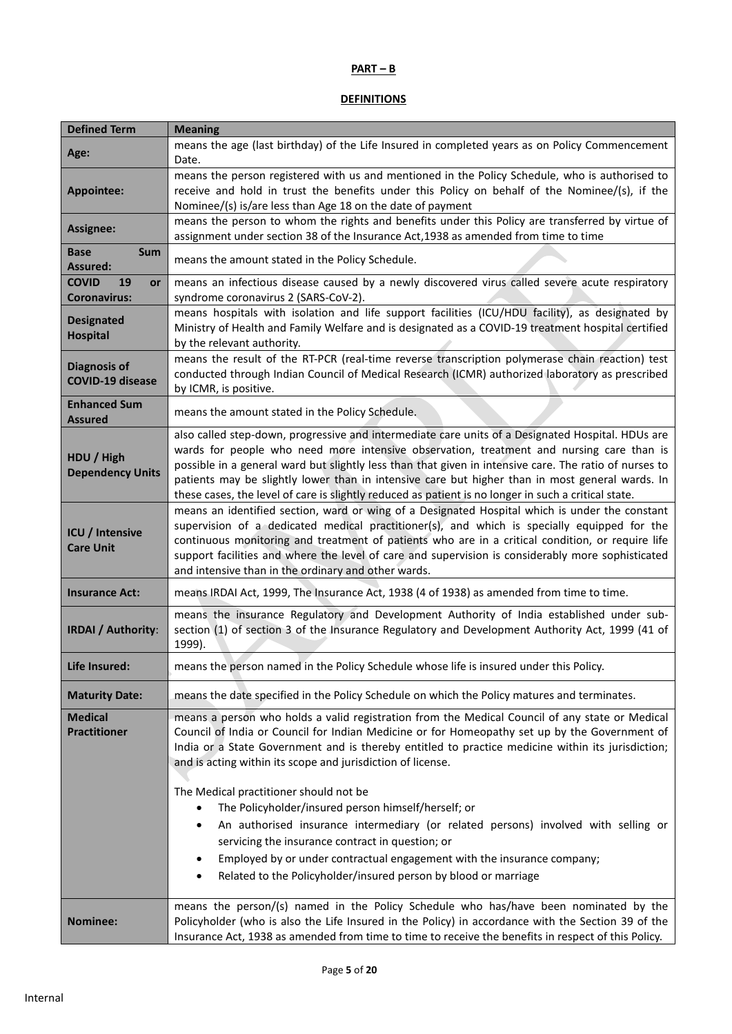# **PART – B**

# **DEFINITIONS**

| <b>Defined Term</b>                             | <b>Meaning</b>                                                                                                                                                                                                                                                                                                                                                                                                                                                                                                     |
|-------------------------------------------------|--------------------------------------------------------------------------------------------------------------------------------------------------------------------------------------------------------------------------------------------------------------------------------------------------------------------------------------------------------------------------------------------------------------------------------------------------------------------------------------------------------------------|
| Age:                                            | means the age (last birthday) of the Life Insured in completed years as on Policy Commencement<br>Date.                                                                                                                                                                                                                                                                                                                                                                                                            |
| <b>Appointee:</b>                               | means the person registered with us and mentioned in the Policy Schedule, who is authorised to<br>receive and hold in trust the benefits under this Policy on behalf of the Nominee/(s), if the<br>Nominee/(s) is/are less than Age 18 on the date of payment                                                                                                                                                                                                                                                      |
| <b>Assignee:</b>                                | means the person to whom the rights and benefits under this Policy are transferred by virtue of<br>assignment under section 38 of the Insurance Act, 1938 as amended from time to time                                                                                                                                                                                                                                                                                                                             |
| <b>Base</b><br>Sum<br><b>Assured:</b>           | means the amount stated in the Policy Schedule.                                                                                                                                                                                                                                                                                                                                                                                                                                                                    |
| <b>COVID</b><br>19<br>or<br><b>Coronavirus:</b> | means an infectious disease caused by a newly discovered virus called severe acute respiratory<br>syndrome coronavirus 2 (SARS-CoV-2).                                                                                                                                                                                                                                                                                                                                                                             |
| <b>Designated</b><br><b>Hospital</b>            | means hospitals with isolation and life support facilities (ICU/HDU facility), as designated by<br>Ministry of Health and Family Welfare and is designated as a COVID-19 treatment hospital certified<br>by the relevant authority.                                                                                                                                                                                                                                                                                |
| <b>Diagnosis of</b><br><b>COVID-19 disease</b>  | means the result of the RT-PCR (real-time reverse transcription polymerase chain reaction) test<br>conducted through Indian Council of Medical Research (ICMR) authorized laboratory as prescribed<br>by ICMR, is positive.                                                                                                                                                                                                                                                                                        |
| <b>Enhanced Sum</b><br><b>Assured</b>           | means the amount stated in the Policy Schedule.                                                                                                                                                                                                                                                                                                                                                                                                                                                                    |
| HDU / High<br><b>Dependency Units</b>           | also called step-down, progressive and intermediate care units of a Designated Hospital. HDUs are<br>wards for people who need more intensive observation, treatment and nursing care than is<br>possible in a general ward but slightly less than that given in intensive care. The ratio of nurses to<br>patients may be slightly lower than in intensive care but higher than in most general wards. In<br>these cases, the level of care is slightly reduced as patient is no longer in such a critical state. |
| <b>ICU</b> / Intensive<br><b>Care Unit</b>      | means an identified section, ward or wing of a Designated Hospital which is under the constant<br>supervision of a dedicated medical practitioner(s), and which is specially equipped for the<br>continuous monitoring and treatment of patients who are in a critical condition, or require life<br>support facilities and where the level of care and supervision is considerably more sophisticated<br>and intensive than in the ordinary and other wards.                                                      |
| <b>Insurance Act:</b>                           | means IRDAI Act, 1999, The Insurance Act, 1938 (4 of 1938) as amended from time to time.                                                                                                                                                                                                                                                                                                                                                                                                                           |
| <b>IRDAI</b> / Authority:                       | means the insurance Regulatory and Development Authority of India established under sub-<br>section (1) of section 3 of the Insurance Regulatory and Development Authority Act, 1999 (41 of<br>1999).                                                                                                                                                                                                                                                                                                              |
| Life Insured:                                   | means the person named in the Policy Schedule whose life is insured under this Policy.                                                                                                                                                                                                                                                                                                                                                                                                                             |
| <b>Maturity Date:</b>                           | means the date specified in the Policy Schedule on which the Policy matures and terminates.                                                                                                                                                                                                                                                                                                                                                                                                                        |
| <b>Medical</b><br><b>Practitioner</b>           | means a person who holds a valid registration from the Medical Council of any state or Medical<br>Council of India or Council for Indian Medicine or for Homeopathy set up by the Government of<br>India or a State Government and is thereby entitled to practice medicine within its jurisdiction;<br>and is acting within its scope and jurisdiction of license.<br>The Medical practitioner should not be<br>The Policyholder/insured person himself/herself; or                                               |
|                                                 | An authorised insurance intermediary (or related persons) involved with selling or<br>servicing the insurance contract in question; or<br>Employed by or under contractual engagement with the insurance company;<br>Related to the Policyholder/insured person by blood or marriage                                                                                                                                                                                                                               |
| Nominee:                                        | means the person/(s) named in the Policy Schedule who has/have been nominated by the<br>Policyholder (who is also the Life Insured in the Policy) in accordance with the Section 39 of the<br>Insurance Act, 1938 as amended from time to time to receive the benefits in respect of this Policy.                                                                                                                                                                                                                  |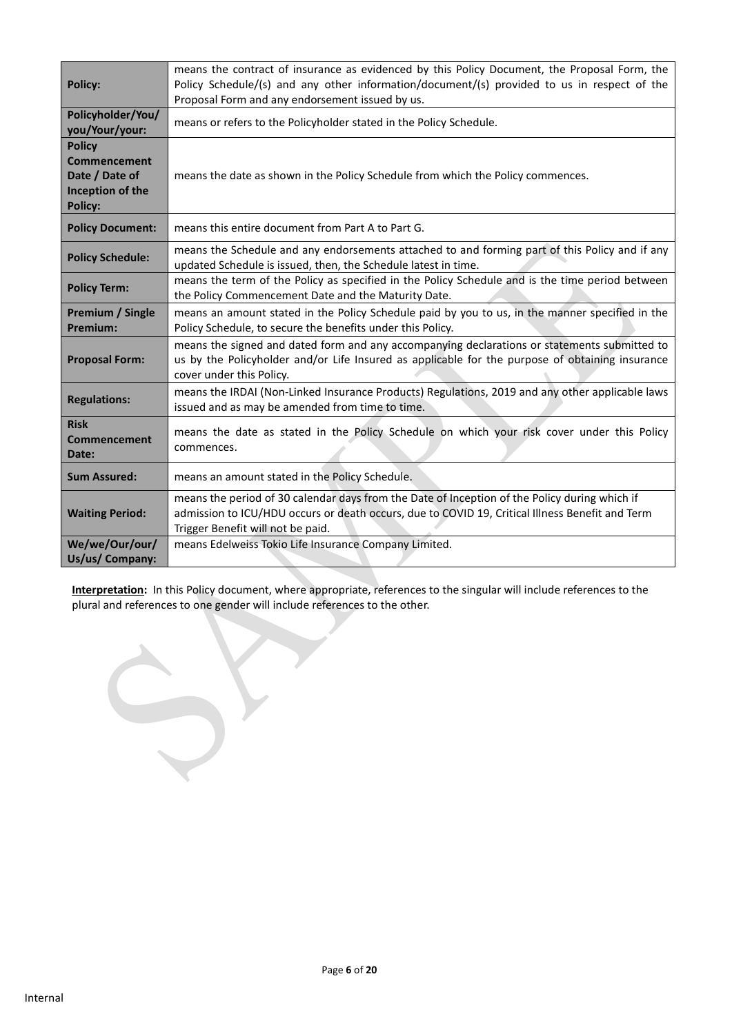| <b>Policy:</b>                                                                               | means the contract of insurance as evidenced by this Policy Document, the Proposal Form, the<br>Policy Schedule/(s) and any other information/document/(s) provided to us in respect of the<br>Proposal Form and any endorsement issued by us. |
|----------------------------------------------------------------------------------------------|------------------------------------------------------------------------------------------------------------------------------------------------------------------------------------------------------------------------------------------------|
| Policyholder/You/<br>you/Your/your:                                                          | means or refers to the Policyholder stated in the Policy Schedule.                                                                                                                                                                             |
| <b>Policy</b><br><b>Commencement</b><br>Date / Date of<br>Inception of the<br><b>Policy:</b> | means the date as shown in the Policy Schedule from which the Policy commences.                                                                                                                                                                |
| <b>Policy Document:</b>                                                                      | means this entire document from Part A to Part G.                                                                                                                                                                                              |
| <b>Policy Schedule:</b>                                                                      | means the Schedule and any endorsements attached to and forming part of this Policy and if any<br>updated Schedule is issued, then, the Schedule latest in time.                                                                               |
| <b>Policy Term:</b>                                                                          | means the term of the Policy as specified in the Policy Schedule and is the time period between<br>the Policy Commencement Date and the Maturity Date.                                                                                         |
| <b>Premium / Single</b><br><b>Premium:</b>                                                   | means an amount stated in the Policy Schedule paid by you to us, in the manner specified in the<br>Policy Schedule, to secure the benefits under this Policy.                                                                                  |
| <b>Proposal Form:</b>                                                                        | means the signed and dated form and any accompanying declarations or statements submitted to<br>us by the Policyholder and/or Life Insured as applicable for the purpose of obtaining insurance<br>cover under this Policy.                    |
| <b>Regulations:</b>                                                                          | means the IRDAI (Non-Linked Insurance Products) Regulations, 2019 and any other applicable laws<br>issued and as may be amended from time to time.                                                                                             |
| <b>Risk</b><br><b>Commencement</b><br>Date:                                                  | means the date as stated in the Policy Schedule on which your risk cover under this Policy<br>commences.                                                                                                                                       |
| <b>Sum Assured:</b>                                                                          | means an amount stated in the Policy Schedule.                                                                                                                                                                                                 |
| <b>Waiting Period:</b>                                                                       | means the period of 30 calendar days from the Date of Inception of the Policy during which if<br>admission to ICU/HDU occurs or death occurs, due to COVID 19, Critical Illness Benefit and Term<br>Trigger Benefit will not be paid.          |
| We/we/Our/our/<br>Us/us/ Company:                                                            | means Edelweiss Tokio Life Insurance Company Limited.                                                                                                                                                                                          |

**Interpretation:** In this Policy document, where appropriate, references to the singular will include references to the plural and references to one gender will include references to the other.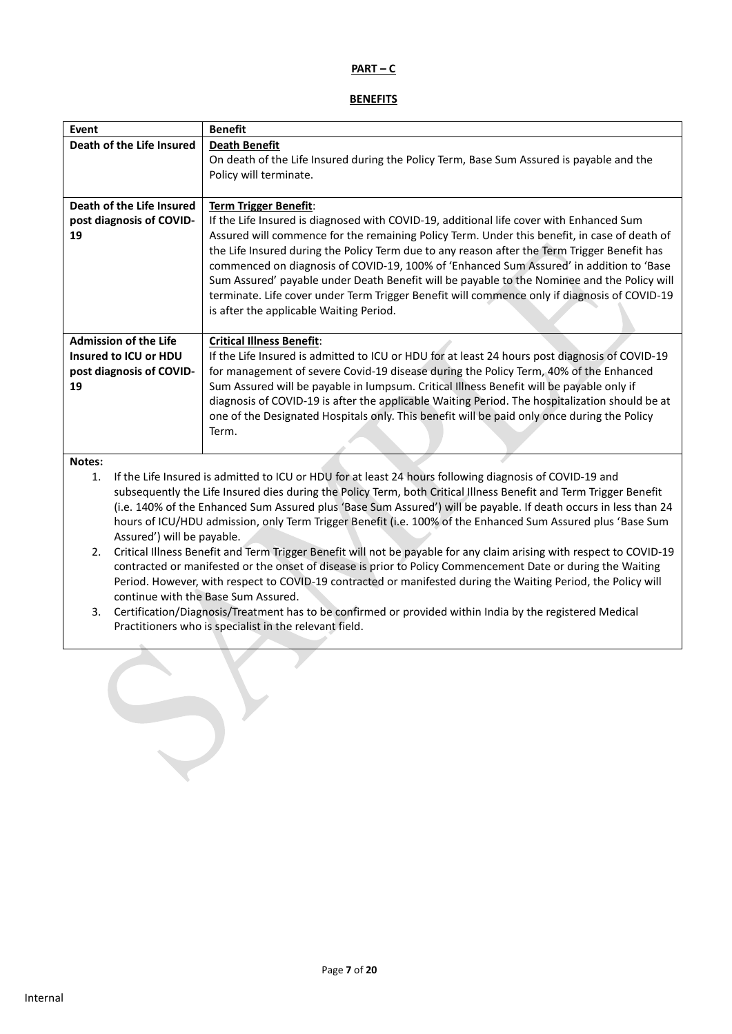# **PART – C**

# **BENEFITS**

| Event                                             | <b>Benefit</b>                                                                                                                                                                                                                  |
|---------------------------------------------------|---------------------------------------------------------------------------------------------------------------------------------------------------------------------------------------------------------------------------------|
| Death of the Life Insured                         | <b>Death Benefit</b>                                                                                                                                                                                                            |
|                                                   | On death of the Life Insured during the Policy Term, Base Sum Assured is payable and the                                                                                                                                        |
|                                                   | Policy will terminate.                                                                                                                                                                                                          |
|                                                   |                                                                                                                                                                                                                                 |
| Death of the Life Insured                         | <b>Term Trigger Benefit:</b>                                                                                                                                                                                                    |
| post diagnosis of COVID-<br>19                    | If the Life Insured is diagnosed with COVID-19, additional life cover with Enhanced Sum<br>Assured will commence for the remaining Policy Term. Under this benefit, in case of death of                                         |
|                                                   | the Life Insured during the Policy Term due to any reason after the Term Trigger Benefit has                                                                                                                                    |
|                                                   | commenced on diagnosis of COVID-19, 100% of 'Enhanced Sum Assured' in addition to 'Base                                                                                                                                         |
|                                                   | Sum Assured' payable under Death Benefit will be payable to the Nominee and the Policy will                                                                                                                                     |
|                                                   | terminate. Life cover under Term Trigger Benefit will commence only if diagnosis of COVID-19                                                                                                                                    |
|                                                   | is after the applicable Waiting Period.                                                                                                                                                                                         |
|                                                   |                                                                                                                                                                                                                                 |
| <b>Admission of the Life</b>                      | <b>Critical Illness Benefit:</b>                                                                                                                                                                                                |
| Insured to ICU or HDU<br>post diagnosis of COVID- | If the Life Insured is admitted to ICU or HDU for at least 24 hours post diagnosis of COVID-19<br>for management of severe Covid-19 disease during the Policy Term, 40% of the Enhanced                                         |
| 19                                                | Sum Assured will be payable in lumpsum. Critical Illness Benefit will be payable only if                                                                                                                                        |
|                                                   | diagnosis of COVID-19 is after the applicable Waiting Period. The hospitalization should be at                                                                                                                                  |
|                                                   | one of the Designated Hospitals only. This benefit will be paid only once during the Policy                                                                                                                                     |
|                                                   | Term.                                                                                                                                                                                                                           |
|                                                   |                                                                                                                                                                                                                                 |
| Notes:                                            |                                                                                                                                                                                                                                 |
| 1.                                                | If the Life Insured is admitted to ICU or HDU for at least 24 hours following diagnosis of COVID-19 and                                                                                                                         |
|                                                   | subsequently the Life Insured dies during the Policy Term, both Critical Illness Benefit and Term Trigger Benefit                                                                                                               |
|                                                   | (i.e. 140% of the Enhanced Sum Assured plus 'Base Sum Assured') will be payable. If death occurs in less than 24<br>hours of ICU/HDU admission, only Term Trigger Benefit (i.e. 100% of the Enhanced Sum Assured plus 'Base Sum |
| Assured') will be payable.                        |                                                                                                                                                                                                                                 |
| 2.                                                | Critical Illness Benefit and Term Trigger Benefit will not be payable for any claim arising with respect to COVID-19                                                                                                            |
|                                                   | contracted or manifested or the onset of disease is prior to Policy Commencement Date or during the Waiting                                                                                                                     |
|                                                   | Period. However, with respect to COVID-19 contracted or manifested during the Waiting Period, the Policy will                                                                                                                   |
|                                                   | continue with the Base Sum Assured.                                                                                                                                                                                             |
| 3.                                                | Certification/Diagnosis/Treatment has to be confirmed or provided within India by the registered Medical                                                                                                                        |
|                                                   | Practitioners who is specialist in the relevant field.                                                                                                                                                                          |
|                                                   |                                                                                                                                                                                                                                 |
|                                                   |                                                                                                                                                                                                                                 |
|                                                   |                                                                                                                                                                                                                                 |
|                                                   |                                                                                                                                                                                                                                 |
|                                                   |                                                                                                                                                                                                                                 |
|                                                   |                                                                                                                                                                                                                                 |
|                                                   |                                                                                                                                                                                                                                 |
|                                                   |                                                                                                                                                                                                                                 |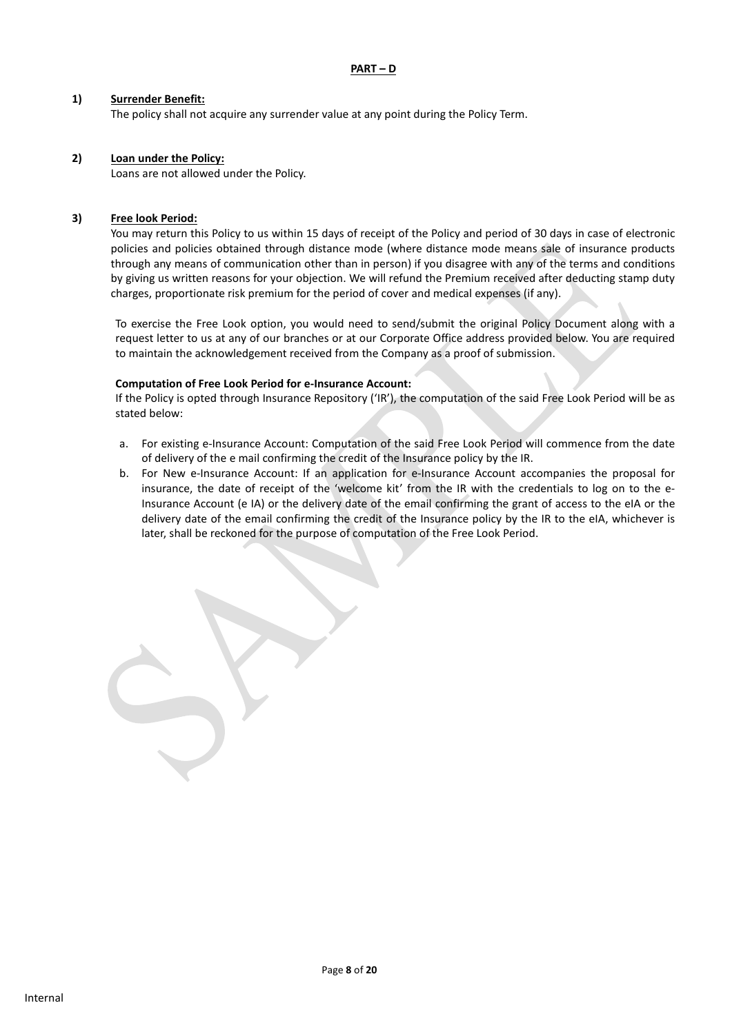#### **1) Surrender Benefit:**

The policy shall not acquire any surrender value at any point during the Policy Term.

#### **2) Loan under the Policy:**

Loans are not allowed under the Policy.

#### **3) Free look Period:**

You may return this Policy to us within 15 days of receipt of the Policy and period of 30 days in case of electronic policies and policies obtained through distance mode (where distance mode means sale of insurance products through any means of communication other than in person) if you disagree with any of the terms and conditions by giving us written reasons for your objection. We will refund the Premium received after deducting stamp duty charges, proportionate risk premium for the period of cover and medical expenses (if any).

To exercise the Free Look option, you would need to send/submit the original Policy Document along with a request letter to us at any of our branches or at our Corporate Office address provided below. You are required to maintain the acknowledgement received from the Company as a proof of submission.

#### **Computation of Free Look Period for e-Insurance Account:**

If the Policy is opted through Insurance Repository ('IR'), the computation of the said Free Look Period will be as stated below:

- a. For existing e-Insurance Account: Computation of the said Free Look Period will commence from the date of delivery of the e mail confirming the credit of the Insurance policy by the IR.
- b. For New e-Insurance Account: If an application for e-Insurance Account accompanies the proposal for insurance, the date of receipt of the 'welcome kit' from the IR with the credentials to log on to the e-Insurance Account (e IA) or the delivery date of the email confirming the grant of access to the eIA or the delivery date of the email confirming the credit of the Insurance policy by the IR to the eIA, whichever is later, shall be reckoned for the purpose of computation of the Free Look Period.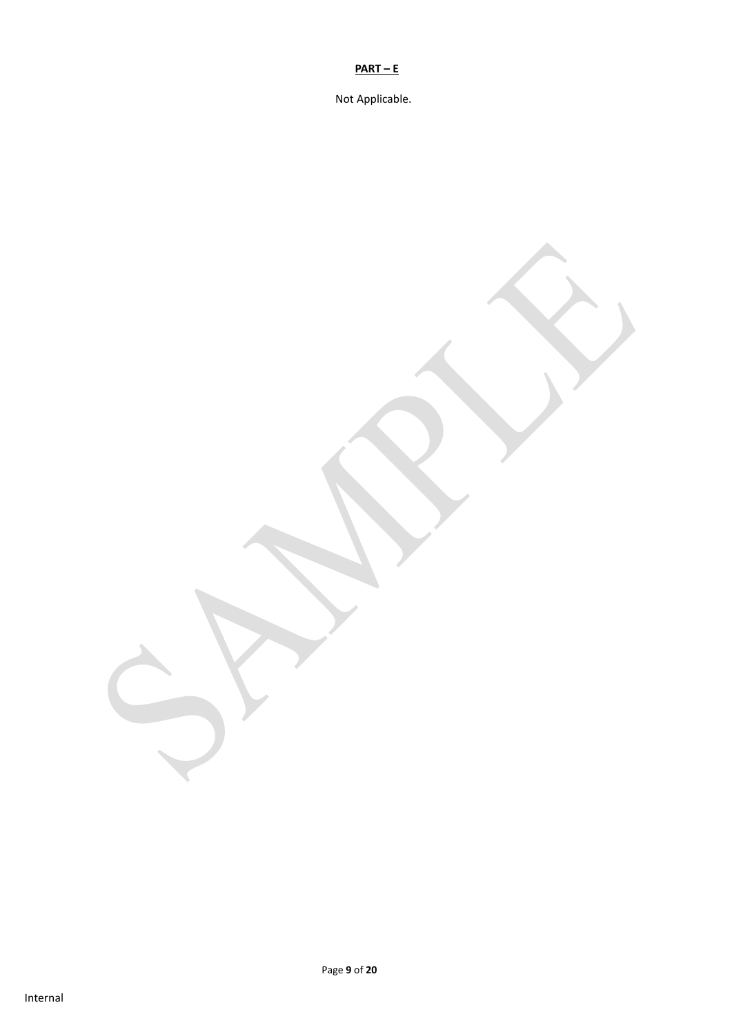## **PART – E**

Not Applicable.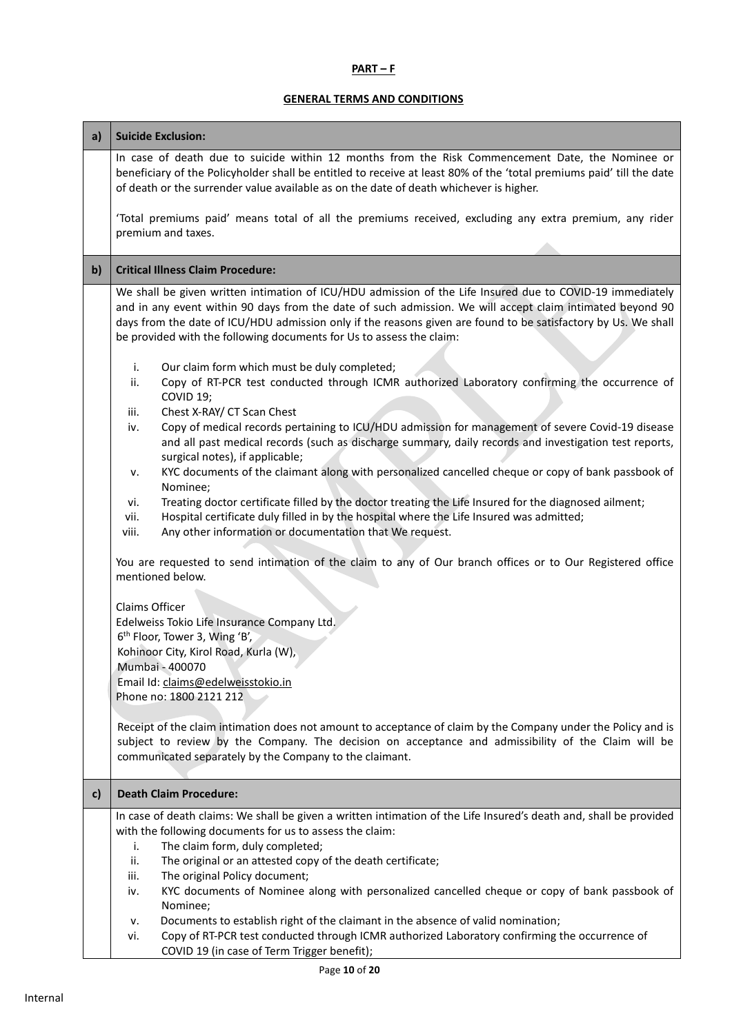## **PART – F**

# **GENERAL TERMS AND CONDITIONS**

| a)           | <b>Suicide Exclusion:</b>                                                                                                                                                                                                                                                                                                                                                                                                                                                                                                                                                                                                                                                                                                                                                                                                                                                                                                                                                                                                                                                                                                                                                                                                                                                                                                                                                                                                                                                                                                                                                                                                                                                                                                                                                                                |
|--------------|----------------------------------------------------------------------------------------------------------------------------------------------------------------------------------------------------------------------------------------------------------------------------------------------------------------------------------------------------------------------------------------------------------------------------------------------------------------------------------------------------------------------------------------------------------------------------------------------------------------------------------------------------------------------------------------------------------------------------------------------------------------------------------------------------------------------------------------------------------------------------------------------------------------------------------------------------------------------------------------------------------------------------------------------------------------------------------------------------------------------------------------------------------------------------------------------------------------------------------------------------------------------------------------------------------------------------------------------------------------------------------------------------------------------------------------------------------------------------------------------------------------------------------------------------------------------------------------------------------------------------------------------------------------------------------------------------------------------------------------------------------------------------------------------------------|
|              | In case of death due to suicide within 12 months from the Risk Commencement Date, the Nominee or<br>beneficiary of the Policyholder shall be entitled to receive at least 80% of the 'total premiums paid' till the date<br>of death or the surrender value available as on the date of death whichever is higher.                                                                                                                                                                                                                                                                                                                                                                                                                                                                                                                                                                                                                                                                                                                                                                                                                                                                                                                                                                                                                                                                                                                                                                                                                                                                                                                                                                                                                                                                                       |
|              | 'Total premiums paid' means total of all the premiums received, excluding any extra premium, any rider<br>premium and taxes.                                                                                                                                                                                                                                                                                                                                                                                                                                                                                                                                                                                                                                                                                                                                                                                                                                                                                                                                                                                                                                                                                                                                                                                                                                                                                                                                                                                                                                                                                                                                                                                                                                                                             |
| $\mathbf{b}$ | <b>Critical Illness Claim Procedure:</b>                                                                                                                                                                                                                                                                                                                                                                                                                                                                                                                                                                                                                                                                                                                                                                                                                                                                                                                                                                                                                                                                                                                                                                                                                                                                                                                                                                                                                                                                                                                                                                                                                                                                                                                                                                 |
|              | We shall be given written intimation of ICU/HDU admission of the Life Insured due to COVID-19 immediately<br>and in any event within 90 days from the date of such admission. We will accept claim intimated beyond 90<br>days from the date of ICU/HDU admission only if the reasons given are found to be satisfactory by Us. We shall<br>be provided with the following documents for Us to assess the claim:<br>Our claim form which must be duly completed;<br>i.<br>Copy of RT-PCR test conducted through ICMR authorized Laboratory confirming the occurrence of<br>ii.<br>COVID 19;<br>Chest X-RAY/ CT Scan Chest<br>iii.<br>Copy of medical records pertaining to ICU/HDU admission for management of severe Covid-19 disease<br>iv.<br>and all past medical records (such as discharge summary, daily records and investigation test reports,<br>surgical notes), if applicable;<br>KYC documents of the claimant along with personalized cancelled cheque or copy of bank passbook of<br>v.<br>Nominee;<br>Treating doctor certificate filled by the doctor treating the Life Insured for the diagnosed ailment;<br>vi.<br>Hospital certificate duly filled in by the hospital where the Life Insured was admitted;<br>vii.<br>Any other information or documentation that We request.<br>viii.<br>You are requested to send intimation of the claim to any of Our branch offices or to Our Registered office<br>mentioned below.<br>Claims Officer<br>Edelweiss Tokio Life Insurance Company Ltd.<br>6 <sup>th</sup> Floor, Tower 3, Wing 'B',<br>Kohinoor City, Kirol Road, Kurla (W),<br>Mumbai - 400070<br>Email Id: claims@edelweisstokio.in<br>Phone no: 1800 2121 212<br>Receipt of the claim intimation does not amount to acceptance of claim by the Company under the Policy and is |
|              | subject to review by the Company. The decision on acceptance and admissibility of the Claim will be<br>communicated separately by the Company to the claimant.                                                                                                                                                                                                                                                                                                                                                                                                                                                                                                                                                                                                                                                                                                                                                                                                                                                                                                                                                                                                                                                                                                                                                                                                                                                                                                                                                                                                                                                                                                                                                                                                                                           |
| c)           | <b>Death Claim Procedure:</b>                                                                                                                                                                                                                                                                                                                                                                                                                                                                                                                                                                                                                                                                                                                                                                                                                                                                                                                                                                                                                                                                                                                                                                                                                                                                                                                                                                                                                                                                                                                                                                                                                                                                                                                                                                            |
|              | In case of death claims: We shall be given a written intimation of the Life Insured's death and, shall be provided<br>with the following documents for us to assess the claim:<br>The claim form, duly completed;<br>i.<br>The original or an attested copy of the death certificate;<br>ii.<br>The original Policy document;<br>iii.<br>KYC documents of Nominee along with personalized cancelled cheque or copy of bank passbook of<br>iv.<br>Nominee;<br>Documents to establish right of the claimant in the absence of valid nomination;<br>v.                                                                                                                                                                                                                                                                                                                                                                                                                                                                                                                                                                                                                                                                                                                                                                                                                                                                                                                                                                                                                                                                                                                                                                                                                                                      |
|              | Copy of RT-PCR test conducted through ICMR authorized Laboratory confirming the occurrence of<br>vi.<br>COVID 19 (in case of Term Trigger benefit);                                                                                                                                                                                                                                                                                                                                                                                                                                                                                                                                                                                                                                                                                                                                                                                                                                                                                                                                                                                                                                                                                                                                                                                                                                                                                                                                                                                                                                                                                                                                                                                                                                                      |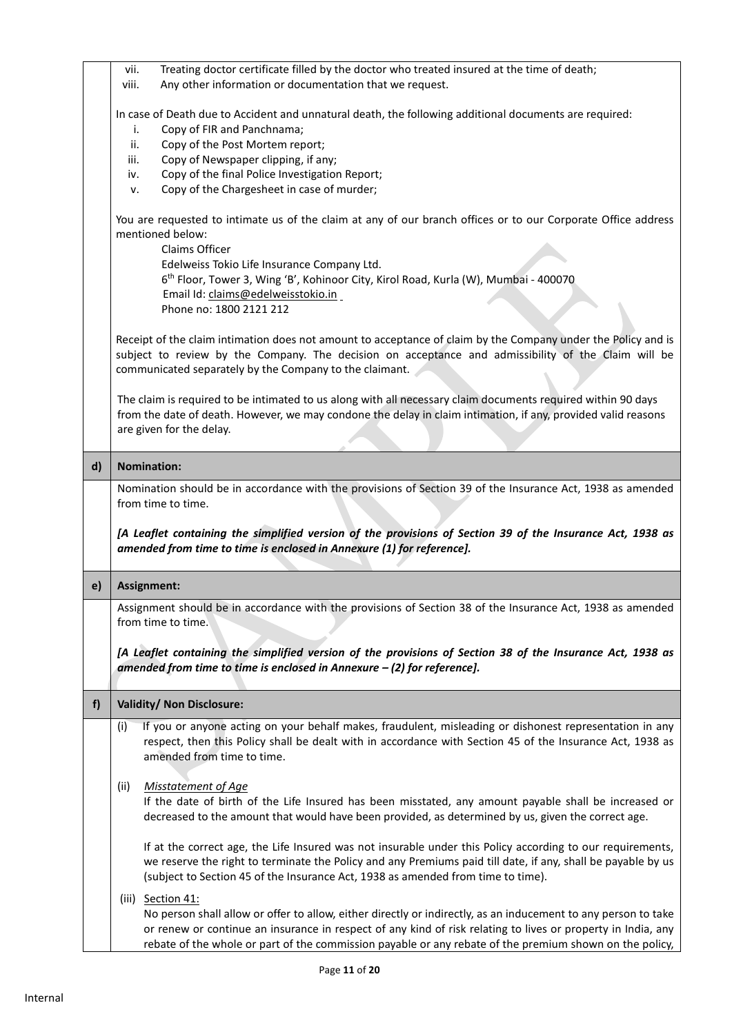|    | Treating doctor certificate filled by the doctor who treated insured at the time of death;<br>vii.<br>Any other information or documentation that we request.<br>viii.                                                                                                                                                  |  |  |
|----|-------------------------------------------------------------------------------------------------------------------------------------------------------------------------------------------------------------------------------------------------------------------------------------------------------------------------|--|--|
|    | In case of Death due to Accident and unnatural death, the following additional documents are required:                                                                                                                                                                                                                  |  |  |
|    | i.<br>Copy of FIR and Panchnama;                                                                                                                                                                                                                                                                                        |  |  |
|    | Copy of the Post Mortem report;<br>ii.                                                                                                                                                                                                                                                                                  |  |  |
|    | Copy of Newspaper clipping, if any;<br>iii.                                                                                                                                                                                                                                                                             |  |  |
|    | Copy of the final Police Investigation Report;<br>iv.                                                                                                                                                                                                                                                                   |  |  |
|    | Copy of the Chargesheet in case of murder;<br>٧.                                                                                                                                                                                                                                                                        |  |  |
|    | You are requested to intimate us of the claim at any of our branch offices or to our Corporate Office address<br>mentioned below:                                                                                                                                                                                       |  |  |
|    | Claims Officer                                                                                                                                                                                                                                                                                                          |  |  |
|    | Edelweiss Tokio Life Insurance Company Ltd.                                                                                                                                                                                                                                                                             |  |  |
|    | 6 <sup>th</sup> Floor, Tower 3, Wing 'B', Kohinoor City, Kirol Road, Kurla (W), Mumbai - 400070                                                                                                                                                                                                                         |  |  |
|    | Email Id: claims@edelweisstokio.in                                                                                                                                                                                                                                                                                      |  |  |
|    | Phone no: 1800 2121 212                                                                                                                                                                                                                                                                                                 |  |  |
|    | Receipt of the claim intimation does not amount to acceptance of claim by the Company under the Policy and is<br>subject to review by the Company. The decision on acceptance and admissibility of the Claim will be<br>communicated separately by the Company to the claimant.                                         |  |  |
|    | The claim is required to be intimated to us along with all necessary claim documents required within 90 days<br>from the date of death. However, we may condone the delay in claim intimation, if any, provided valid reasons<br>are given for the delay.                                                               |  |  |
| d) | <b>Nomination:</b>                                                                                                                                                                                                                                                                                                      |  |  |
|    | Nomination should be in accordance with the provisions of Section 39 of the Insurance Act, 1938 as amended<br>from time to time.<br>[A Leaflet containing the simplified version of the provisions of Section 39 of the Insurance Act, 1938 as<br>amended from time to time is enclosed in Annexure (1) for reference]. |  |  |
| e) | <b>Assignment:</b>                                                                                                                                                                                                                                                                                                      |  |  |
|    |                                                                                                                                                                                                                                                                                                                         |  |  |
|    | Assignment should be in accordance with the provisions of Section 38 of the Insurance Act, 1938 as amended<br>from time to time.                                                                                                                                                                                        |  |  |
|    |                                                                                                                                                                                                                                                                                                                         |  |  |
|    | [A Leaflet containing the simplified version of the provisions of Section 38 of the Insurance Act, 1938 as<br>amended from time to time is enclosed in Annexure $-$ (2) for reference].                                                                                                                                 |  |  |
| f) | Validity/ Non Disclosure:                                                                                                                                                                                                                                                                                               |  |  |
|    |                                                                                                                                                                                                                                                                                                                         |  |  |
|    | If you or anyone acting on your behalf makes, fraudulent, misleading or dishonest representation in any<br>(i)<br>respect, then this Policy shall be dealt with in accordance with Section 45 of the Insurance Act, 1938 as<br>amended from time to time.                                                               |  |  |
|    |                                                                                                                                                                                                                                                                                                                         |  |  |
|    | <b>Misstatement of Age</b><br>(ii)                                                                                                                                                                                                                                                                                      |  |  |
|    | If the date of birth of the Life Insured has been misstated, any amount payable shall be increased or<br>decreased to the amount that would have been provided, as determined by us, given the correct age.                                                                                                             |  |  |
|    | If at the correct age, the Life Insured was not insurable under this Policy according to our requirements,<br>we reserve the right to terminate the Policy and any Premiums paid till date, if any, shall be payable by us                                                                                              |  |  |
|    | (subject to Section 45 of the Insurance Act, 1938 as amended from time to time).                                                                                                                                                                                                                                        |  |  |
|    | (iii) Section 41:                                                                                                                                                                                                                                                                                                       |  |  |
|    | No person shall allow or offer to allow, either directly or indirectly, as an inducement to any person to take                                                                                                                                                                                                          |  |  |
|    | or renew or continue an insurance in respect of any kind of risk relating to lives or property in India, any<br>rebate of the whole or part of the commission payable or any rebate of the premium shown on the policy,                                                                                                 |  |  |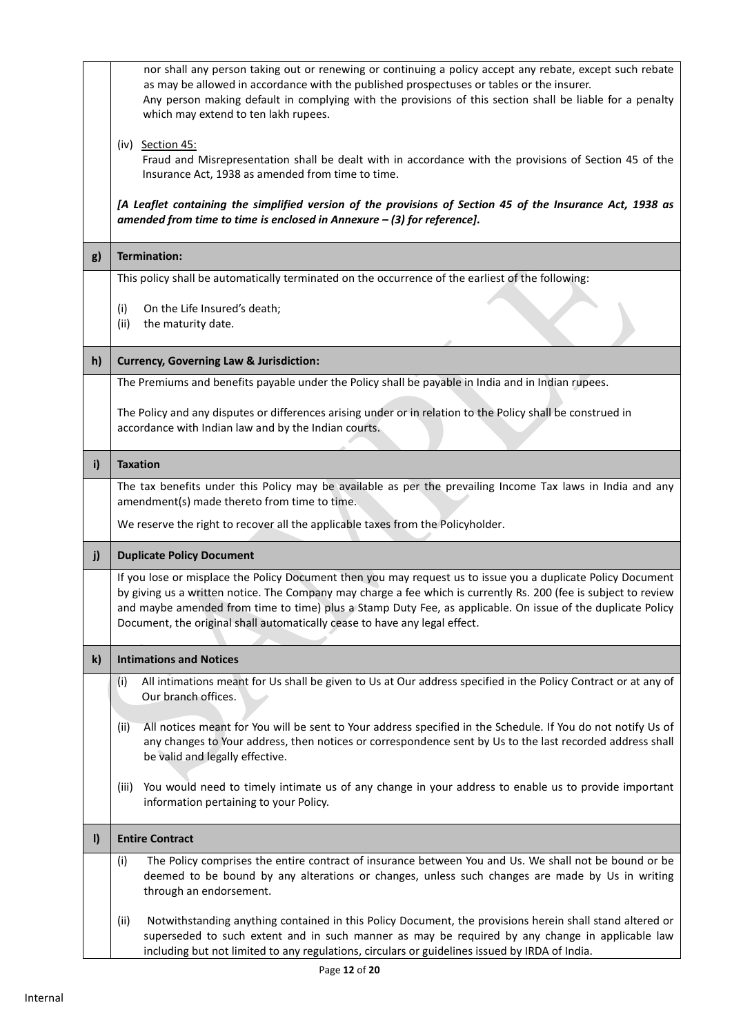|              | nor shall any person taking out or renewing or continuing a policy accept any rebate, except such rebate<br>as may be allowed in accordance with the published prospectuses or tables or the insurer.<br>Any person making default in complying with the provisions of this section shall be liable for a penalty<br>which may extend to ten lakh rupees.                                                                     |
|--------------|-------------------------------------------------------------------------------------------------------------------------------------------------------------------------------------------------------------------------------------------------------------------------------------------------------------------------------------------------------------------------------------------------------------------------------|
|              | (iv) Section 45:<br>Fraud and Misrepresentation shall be dealt with in accordance with the provisions of Section 45 of the<br>Insurance Act, 1938 as amended from time to time.                                                                                                                                                                                                                                               |
|              | [A Leaflet containing the simplified version of the provisions of Section 45 of the Insurance Act, 1938 as<br>amended from time to time is enclosed in Annexure $-$ (3) for reference].                                                                                                                                                                                                                                       |
| g)           | <b>Termination:</b>                                                                                                                                                                                                                                                                                                                                                                                                           |
|              | This policy shall be automatically terminated on the occurrence of the earliest of the following:                                                                                                                                                                                                                                                                                                                             |
|              | On the Life Insured's death;<br>(i)<br>the maturity date.<br>(ii)                                                                                                                                                                                                                                                                                                                                                             |
| h)           | <b>Currency, Governing Law &amp; Jurisdiction:</b>                                                                                                                                                                                                                                                                                                                                                                            |
|              | The Premiums and benefits payable under the Policy shall be payable in India and in Indian rupees.                                                                                                                                                                                                                                                                                                                            |
|              | The Policy and any disputes or differences arising under or in relation to the Policy shall be construed in<br>accordance with Indian law and by the Indian courts.                                                                                                                                                                                                                                                           |
| i)           | <b>Taxation</b>                                                                                                                                                                                                                                                                                                                                                                                                               |
|              | The tax benefits under this Policy may be available as per the prevailing Income Tax laws in India and any<br>amendment(s) made thereto from time to time.                                                                                                                                                                                                                                                                    |
|              | We reserve the right to recover all the applicable taxes from the Policyholder.                                                                                                                                                                                                                                                                                                                                               |
| j)           | <b>Duplicate Policy Document</b>                                                                                                                                                                                                                                                                                                                                                                                              |
|              | If you lose or misplace the Policy Document then you may request us to issue you a duplicate Policy Document<br>by giving us a written notice. The Company may charge a fee which is currently Rs. 200 (fee is subject to review<br>and maybe amended from time to time) plus a Stamp Duty Fee, as applicable. On issue of the duplicate Policy<br>Document, the original shall automatically cease to have any legal effect. |
| k)           | <b>Intimations and Notices</b>                                                                                                                                                                                                                                                                                                                                                                                                |
|              | All intimations meant for Us shall be given to Us at Our address specified in the Policy Contract or at any of<br>(i)<br>Our branch offices.                                                                                                                                                                                                                                                                                  |
|              | All notices meant for You will be sent to Your address specified in the Schedule. If You do not notify Us of<br>(ii)<br>any changes to Your address, then notices or correspondence sent by Us to the last recorded address shall<br>be valid and legally effective.                                                                                                                                                          |
|              | You would need to timely intimate us of any change in your address to enable us to provide important<br>(iii)<br>information pertaining to your Policy.                                                                                                                                                                                                                                                                       |
| $\mathbf{I}$ | <b>Entire Contract</b>                                                                                                                                                                                                                                                                                                                                                                                                        |
|              | The Policy comprises the entire contract of insurance between You and Us. We shall not be bound or be<br>(i)<br>deemed to be bound by any alterations or changes, unless such changes are made by Us in writing<br>through an endorsement.                                                                                                                                                                                    |
|              | Notwithstanding anything contained in this Policy Document, the provisions herein shall stand altered or<br>(ii)<br>superseded to such extent and in such manner as may be required by any change in applicable law<br>including but not limited to any regulations, circulars or guidelines issued by IRDA of India.                                                                                                         |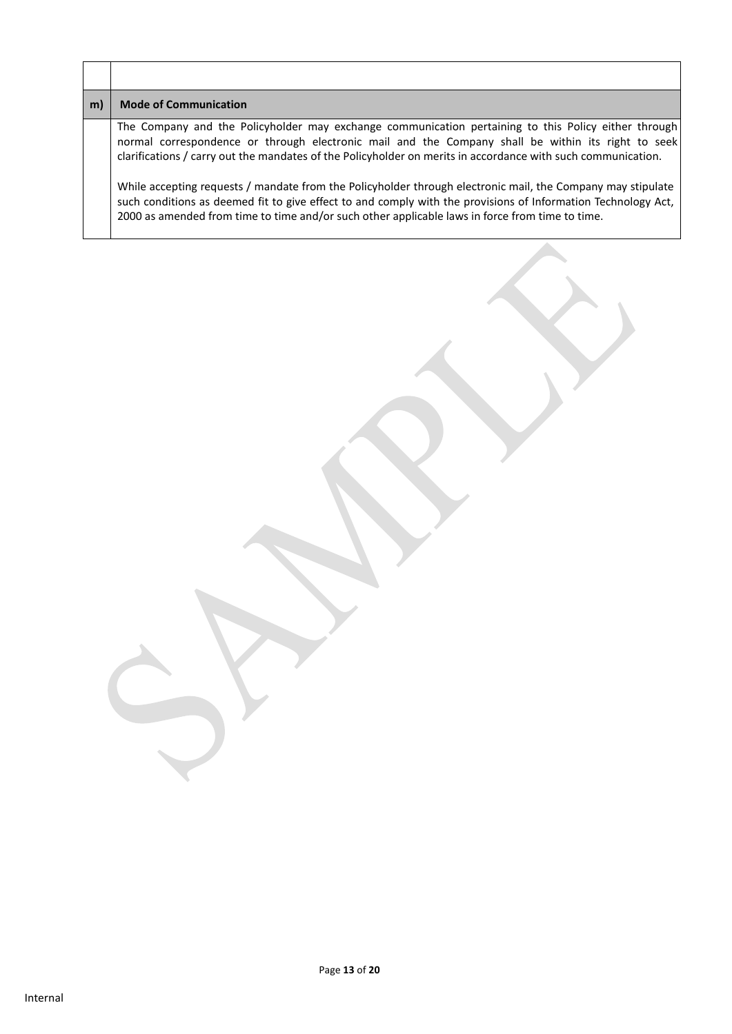| m | <b>Mode of Communication</b>                                                                                                                                                                                                                                                                                                    |
|---|---------------------------------------------------------------------------------------------------------------------------------------------------------------------------------------------------------------------------------------------------------------------------------------------------------------------------------|
|   | The Company and the Policyholder may exchange communication pertaining to this Policy either through<br>normal correspondence or through electronic mail and the Company shall be within its right to seek<br>clarifications / carry out the mandates of the Policyholder on merits in accordance with such communication.      |
|   | While accepting requests / mandate from the Policyholder through electronic mail, the Company may stipulate<br>such conditions as deemed fit to give effect to and comply with the provisions of Information Technology Act,<br>2000 as amended from time to time and/or such other applicable laws in force from time to time. |

 $\Gamma$ 

 $\overline{\mathbf{r}}$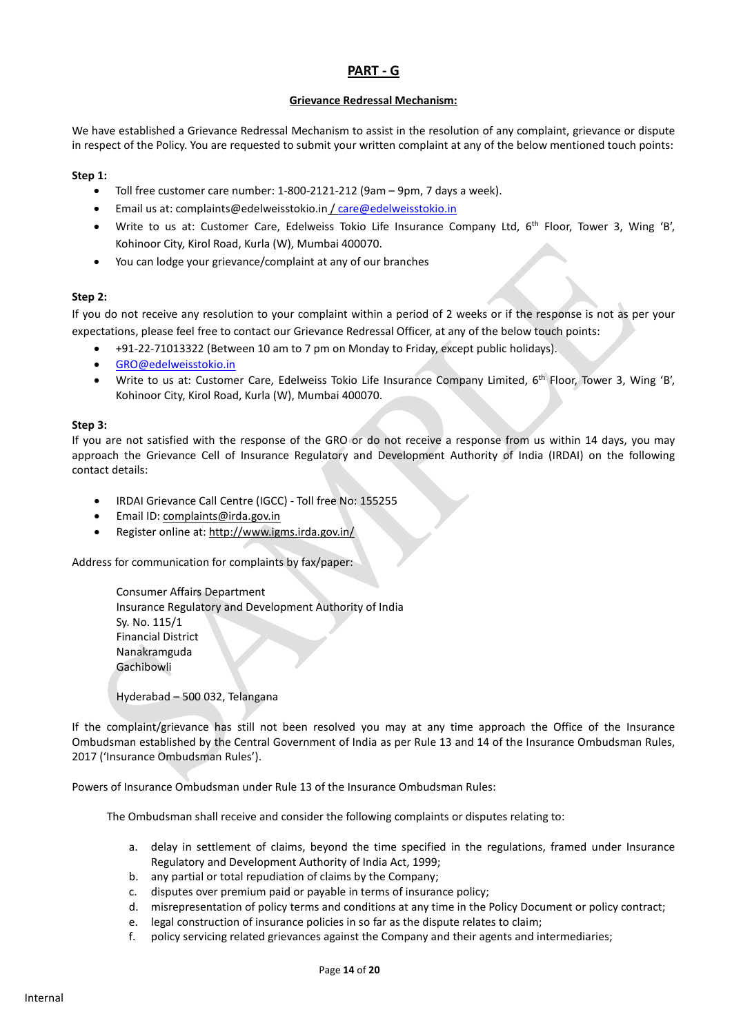## **PART - G**

#### **Grievance Redressal Mechanism:**

We have established a Grievance Redressal Mechanism to assist in the resolution of any complaint, grievance or dispute in respect of the Policy. You are requested to submit your written complaint at any of the below mentioned touch points:

#### **Step 1:**

- Toll free customer care number: 1-800-2121-212 (9am 9pm, 7 days a week).
- Email us at: complaints@edelweisstokio.in / [care@edelweisstokio.in](mailto:care@edelweisstokio.in)
- Write to us at: Customer Care, Edelweiss Tokio Life Insurance Company Ltd, 6<sup>th</sup> Floor, Tower 3, Wing 'B', Kohinoor City, Kirol Road, Kurla (W), Mumbai 400070.
- You can lodge your grievance/complaint at any of our branches

#### **Step 2:**

If you do not receive any resolution to your complaint within a period of 2 weeks or if the response is not as per your expectations, please feel free to contact our Grievance Redressal Officer, at any of the below touch points:

- +91-22-71013322 (Between 10 am to 7 pm on Monday to Friday, except public holidays).
- [GRO@edelweisstokio.in](mailto:GRO@edelweisstokio.in)
- Write to us at: Customer Care, Edelweiss Tokio Life Insurance Company Limited, 6<sup>th</sup> Floor, Tower 3, Wing 'B', Kohinoor City, Kirol Road, Kurla (W), Mumbai 400070.

#### **Step 3:**

If you are not satisfied with the response of the GRO or do not receive a response from us within 14 days, you may approach the Grievance Cell of Insurance Regulatory and Development Authority of India (IRDAI) on the following contact details:

- IRDAI Grievance Call Centre (IGCC) Toll free No: 155255
- Email ID[: complaints@irda.gov.in](mailto:complaints@irda.gov.in)
- Register online at:<http://www.igms.irda.gov.in/>

Address for communication for complaints by fax/paper:

Consumer Affairs Department Insurance Regulatory and Development Authority of India Sy. No. 115/1 Financial District Nanakramguda Gachibowli

Hyderabad – 500 032, Telangana

If the complaint/grievance has still not been resolved you may at any time approach the Office of the Insurance Ombudsman established by the Central Government of India as per Rule 13 and 14 of the Insurance Ombudsman Rules, 2017 ('Insurance Ombudsman Rules').

Powers of Insurance Ombudsman under Rule 13 of the Insurance Ombudsman Rules:

The Ombudsman shall receive and consider the following complaints or disputes relating to:

- a. delay in settlement of claims, beyond the time specified in the regulations, framed under Insurance Regulatory and Development Authority of India Act, 1999;
- b. any partial or total repudiation of claims by the Company;
- c. disputes over premium paid or payable in terms of insurance policy;
- d. misrepresentation of policy terms and conditions at any time in the Policy Document or policy contract;
- e. legal construction of insurance policies in so far as the dispute relates to claim;
- f. policy servicing related grievances against the Company and their agents and intermediaries;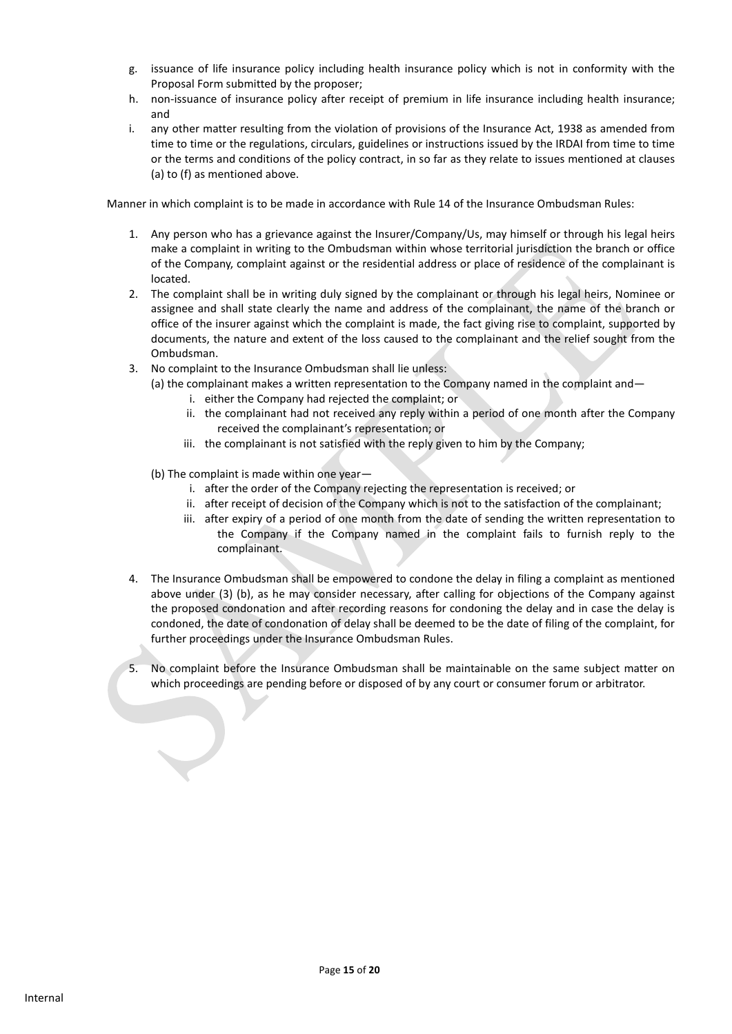- g. issuance of life insurance policy including health insurance policy which is not in conformity with the Proposal Form submitted by the proposer;
- h. non-issuance of insurance policy after receipt of premium in life insurance including health insurance; and
- i. any other matter resulting from the violation of provisions of the Insurance Act, 1938 as amended from time to time or the regulations, circulars, guidelines or instructions issued by the IRDAI from time to time or the terms and conditions of the policy contract, in so far as they relate to issues mentioned at clauses (a) to (f) as mentioned above.

Manner in which complaint is to be made in accordance with Rule 14 of the Insurance Ombudsman Rules:

- 1. Any person who has a grievance against the Insurer/Company/Us, may himself or through his legal heirs make a complaint in writing to the Ombudsman within whose territorial jurisdiction the branch or office of the Company, complaint against or the residential address or place of residence of the complainant is located.
- 2. The complaint shall be in writing duly signed by the complainant or through his legal heirs, Nominee or assignee and shall state clearly the name and address of the complainant, the name of the branch or office of the insurer against which the complaint is made, the fact giving rise to complaint, supported by documents, the nature and extent of the loss caused to the complainant and the relief sought from the Ombudsman.
- 3. No complaint to the Insurance Ombudsman shall lie unless:
	- (a) the complainant makes a written representation to the Company named in the complaint and
		- i. either the Company had rejected the complaint; or
		- ii. the complainant had not received any reply within a period of one month after the Company received the complainant's representation; or
		- iii. the complainant is not satisfied with the reply given to him by the Company;
	- (b) The complaint is made within one year
		- i. after the order of the Company rejecting the representation is received; or
		- ii. after receipt of decision of the Company which is not to the satisfaction of the complainant;
		- iii. after expiry of a period of one month from the date of sending the written representation to the Company if the Company named in the complaint fails to furnish reply to the complainant.
- 4. The Insurance Ombudsman shall be empowered to condone the delay in filing a complaint as mentioned above under (3) (b), as he may consider necessary, after calling for objections of the Company against the proposed condonation and after recording reasons for condoning the delay and in case the delay is condoned, the date of condonation of delay shall be deemed to be the date of filing of the complaint, for further proceedings under the Insurance Ombudsman Rules.
- 5. No complaint before the Insurance Ombudsman shall be maintainable on the same subject matter on which proceedings are pending before or disposed of by any court or consumer forum or arbitrator.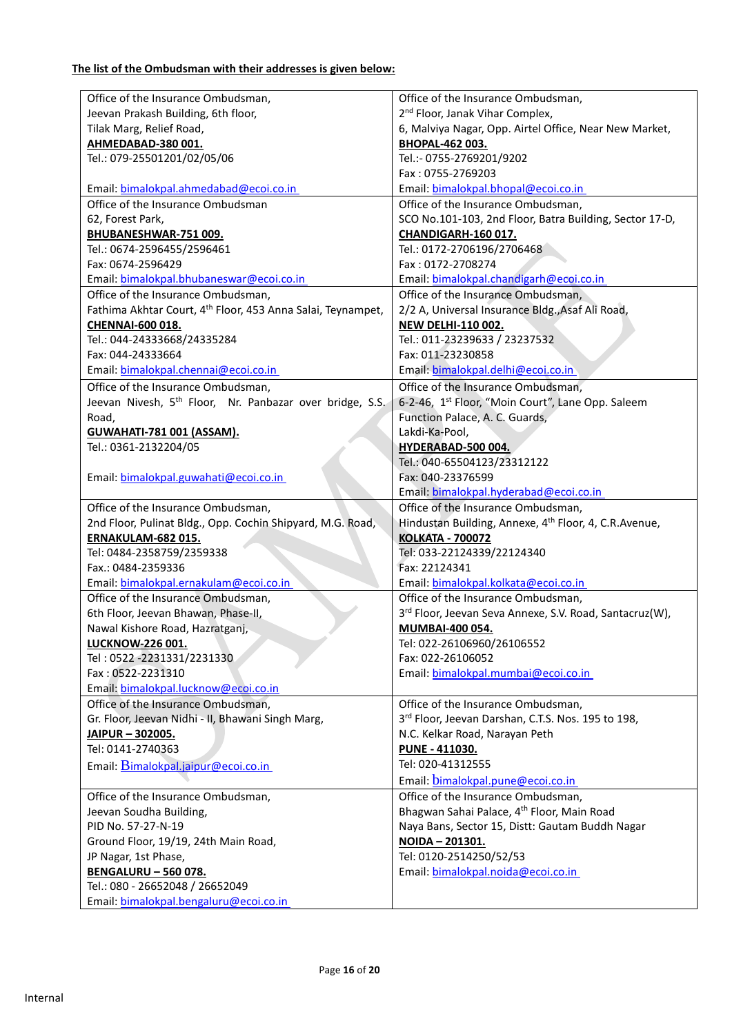# **The list of the Ombudsman with their addresses is given below:**

| Office of the Insurance Ombudsman,                                        | Office of the Insurance Ombudsman,                                |
|---------------------------------------------------------------------------|-------------------------------------------------------------------|
| Jeevan Prakash Building, 6th floor,                                       | 2 <sup>nd</sup> Floor, Janak Vihar Complex,                       |
| Tilak Marg, Relief Road,                                                  | 6, Malviya Nagar, Opp. Airtel Office, Near New Market,            |
| AHMEDABAD-380 001.                                                        | BHOPAL-462 003.                                                   |
| Tel.: 079-25501201/02/05/06                                               | Tel.:- 0755-2769201/9202                                          |
|                                                                           | Fax: 0755-2769203                                                 |
| Email: bimalokpal.ahmedabad@ecoi.co.in                                    | Email: bimalokpal.bhopal@ecoi.co.in                               |
| Office of the Insurance Ombudsman                                         | Office of the Insurance Ombudsman,                                |
| 62, Forest Park,                                                          | SCO No.101-103, 2nd Floor, Batra Building, Sector 17-D,           |
| BHUBANESHWAR-751 009.                                                     | CHANDIGARH-160 017.                                               |
| Tel.: 0674-2596455/2596461                                                | Tel.: 0172-2706196/2706468                                        |
| Fax: 0674-2596429                                                         | Fax: 0172-2708274                                                 |
| Email: bimalokpal.bhubaneswar@ecoi.co.in                                  | Email: bimalokpal.chandigarh@ecoi.co.in                           |
| Office of the Insurance Ombudsman,                                        | Office of the Insurance Ombudsman,                                |
| Fathima Akhtar Court, 4 <sup>th</sup> Floor, 453 Anna Salai, Teynampet,   | 2/2 A, Universal Insurance Bldg., Asaf Ali Road,                  |
| <b>CHENNAI-600 018.</b>                                                   | <b>NEW DELHI-110 002.</b>                                         |
| Tel.: 044-24333668/24335284                                               | Tel.: 011-23239633 / 23237532                                     |
| Fax: 044-24333664                                                         | Fax: 011-23230858                                                 |
| Email: bimalokpal.chennai@ecoi.co.in                                      | Email: bimalokpal.delhi@ecoi.co.in                                |
| Office of the Insurance Ombudsman,                                        | Office of the Insurance Ombudsman,                                |
| Jeevan Nivesh, 5 <sup>th</sup> Floor, Nr. Panbazar over bridge, S.S.      | 6-2-46, 1 <sup>st</sup> Floor, "Moin Court", Lane Opp. Saleem     |
| Road,                                                                     | Function Palace, A. C. Guards,                                    |
| <b>GUWAHATI-781 001 (ASSAM).</b>                                          | Lakdi-Ka-Pool,                                                    |
| Tel.: 0361-2132204/05                                                     | HYDERABAD-500 004.                                                |
|                                                                           | Tel.: 040-65504123/23312122                                       |
| Email: bimalokpal.guwahati@ecoi.co.in                                     | Fax: 040-23376599                                                 |
|                                                                           | Email: bimalokpal.hyderabad@ecoi.co.in                            |
|                                                                           |                                                                   |
|                                                                           |                                                                   |
| Office of the Insurance Ombudsman,                                        | Office of the Insurance Ombudsman,                                |
| 2nd Floor, Pulinat Bldg., Opp. Cochin Shipyard, M.G. Road,                | Hindustan Building, Annexe, 4 <sup>th</sup> Floor, 4, C.R.Avenue, |
| ERNAKULAM-682 015.                                                        | <b>KOLKATA - 700072</b>                                           |
| Tel: 0484-2358759/2359338<br>Fax.: 0484-2359336                           | Tel: 033-22124339/22124340                                        |
|                                                                           | Fax: 22124341                                                     |
| Email: bimalokpal.ernakulam@ecoi.co.in                                    | Email: bimalokpal.kolkata@ecoi.co.in                              |
| Office of the Insurance Ombudsman,                                        | Office of the Insurance Ombudsman,                                |
| 6th Floor, Jeevan Bhawan, Phase-II,                                       | 3rd Floor, Jeevan Seva Annexe, S.V. Road, Santacruz(W),           |
| Nawal Kishore Road, Hazratganj,                                           | MUMBAI-400 054.                                                   |
| <b>LUCKNOW-226 001.</b>                                                   | Tel: 022-26106960/26106552                                        |
| Tel: 0522 -2231331/2231330                                                | Fax: 022-26106052                                                 |
| Fax: 0522-2231310                                                         | Email: bimalokpal.mumbai@ecoi.co.in                               |
| Email: bimalokpal.lucknow@ecoi.co.in                                      |                                                                   |
| Office of the Insurance Ombudsman,                                        | Office of the Insurance Ombudsman,                                |
| Gr. Floor, Jeevan Nidhi - II, Bhawani Singh Marg,                         | 3rd Floor, Jeevan Darshan, C.T.S. Nos. 195 to 198,                |
| JAIPUR - 302005.                                                          | N.C. Kelkar Road, Narayan Peth                                    |
| Tel: 0141-2740363                                                         | <b>PUNE - 411030.</b>                                             |
| Email: Bimalokpal.jaipur@ecoi.co.in                                       | Tel: 020-41312555                                                 |
|                                                                           | Email: bimalokpal.pune@ecoi.co.in                                 |
| Office of the Insurance Ombudsman,                                        | Office of the Insurance Ombudsman,                                |
| Jeevan Soudha Building,                                                   | Bhagwan Sahai Palace, 4 <sup>th</sup> Floor, Main Road            |
| PID No. 57-27-N-19                                                        | Naya Bans, Sector 15, Distt: Gautam Buddh Nagar                   |
| Ground Floor, 19/19, 24th Main Road,                                      | NOIDA - 201301.                                                   |
| JP Nagar, 1st Phase,                                                      | Tel: 0120-2514250/52/53                                           |
| <b>BENGALURU - 560 078.</b>                                               | Email: bimalokpal.noida@ecoi.co.in                                |
| Tel.: 080 - 26652048 / 26652049<br>Email: bimalokpal.bengaluru@ecoi.co.in |                                                                   |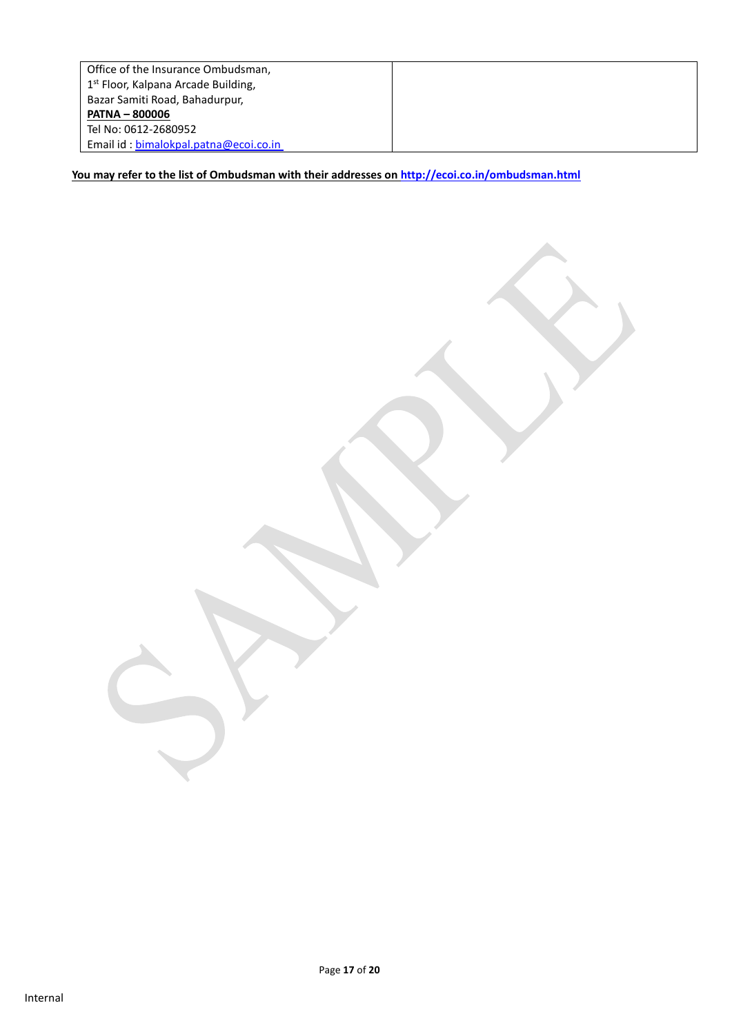Office of the Insurance Ombudsman, 1st Floor, Kalpana Arcade Building, Bazar Samiti Road, Bahadurpur, **PATNA – 800006** Tel No: 0612-2680952 Email id : [bimalokpal.patna@ecoi.co.in](mailto:bimalokpal.patna@ecoi.co.in) 

**You may refer to the list of Ombudsman with their addresses on <http://ecoi.co.in/ombudsman.html>**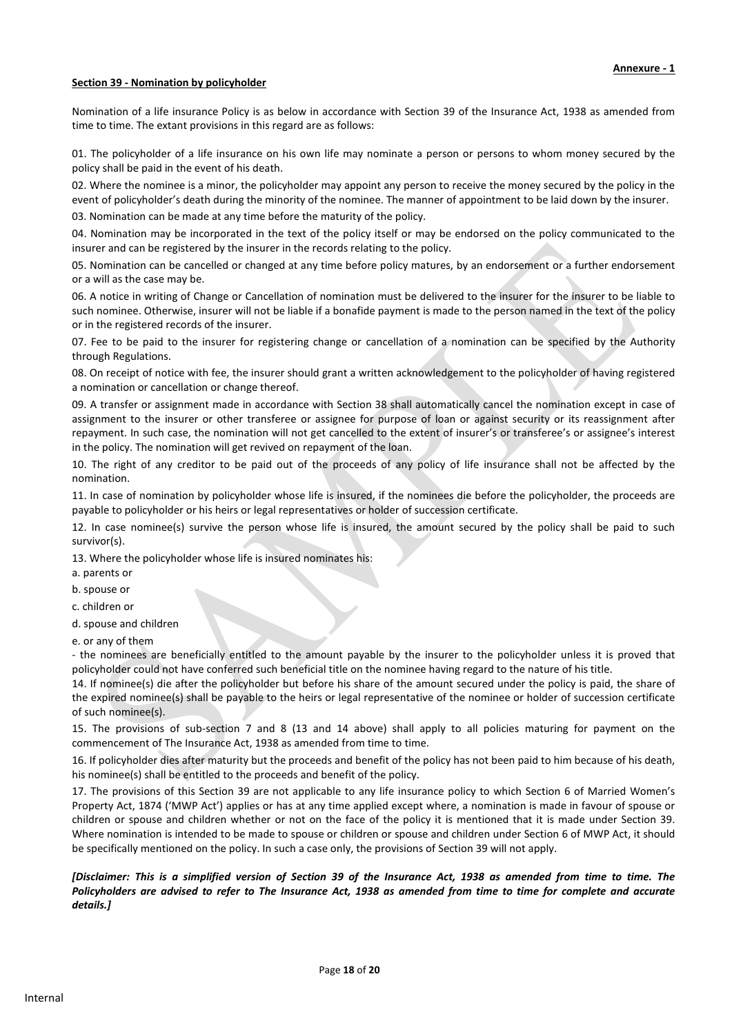#### **Section 39 - Nomination by policyholder**

Nomination of a life insurance Policy is as below in accordance with Section 39 of the Insurance Act, 1938 as amended from time to time. The extant provisions in this regard are as follows:

01. The policyholder of a life insurance on his own life may nominate a person or persons to whom money secured by the policy shall be paid in the event of his death.

02. Where the nominee is a minor, the policyholder may appoint any person to receive the money secured by the policy in the event of policyholder's death during the minority of the nominee. The manner of appointment to be laid down by the insurer. 03. Nomination can be made at any time before the maturity of the policy.

04. Nomination may be incorporated in the text of the policy itself or may be endorsed on the policy communicated to the insurer and can be registered by the insurer in the records relating to the policy.

05. Nomination can be cancelled or changed at any time before policy matures, by an endorsement or a further endorsement or a will as the case may be.

06. A notice in writing of Change or Cancellation of nomination must be delivered to the insurer for the insurer to be liable to such nominee. Otherwise, insurer will not be liable if a bonafide payment is made to the person named in the text of the policy or in the registered records of the insurer.

07. Fee to be paid to the insurer for registering change or cancellation of a nomination can be specified by the Authority through Regulations.

08. On receipt of notice with fee, the insurer should grant a written acknowledgement to the policyholder of having registered a nomination or cancellation or change thereof.

09. A transfer or assignment made in accordance with Section 38 shall automatically cancel the nomination except in case of assignment to the insurer or other transferee or assignee for purpose of loan or against security or its reassignment after repayment. In such case, the nomination will not get cancelled to the extent of insurer's or transferee's or assignee's interest in the policy. The nomination will get revived on repayment of the loan.

10. The right of any creditor to be paid out of the proceeds of any policy of life insurance shall not be affected by the nomination.

11. In case of nomination by policyholder whose life is insured, if the nominees die before the policyholder, the proceeds are payable to policyholder or his heirs or legal representatives or holder of succession certificate.

12. In case nominee(s) survive the person whose life is insured, the amount secured by the policy shall be paid to such survivor(s).

13. Where the policyholder whose life is insured nominates his:

- a. parents or
- b. spouse or
- c. children or
- d. spouse and children
- e. or any of them

- the nominees are beneficially entitled to the amount payable by the insurer to the policyholder unless it is proved that policyholder could not have conferred such beneficial title on the nominee having regard to the nature of his title.

14. If nominee(s) die after the policyholder but before his share of the amount secured under the policy is paid, the share of the expired nominee(s) shall be payable to the heirs or legal representative of the nominee or holder of succession certificate of such nominee(s).

15. The provisions of sub-section 7 and 8 (13 and 14 above) shall apply to all policies maturing for payment on the commencement of The Insurance Act, 1938 as amended from time to time.

16. If policyholder dies after maturity but the proceeds and benefit of the policy has not been paid to him because of his death, his nominee(s) shall be entitled to the proceeds and benefit of the policy.

17. The provisions of this Section 39 are not applicable to any life insurance policy to which Section 6 of Married Women's Property Act, 1874 ('MWP Act') applies or has at any time applied except where, a nomination is made in favour of spouse or children or spouse and children whether or not on the face of the policy it is mentioned that it is made under Section 39. Where nomination is intended to be made to spouse or children or spouse and children under Section 6 of MWP Act, it should be specifically mentioned on the policy. In such a case only, the provisions of Section 39 will not apply.

*[Disclaimer: This is a simplified version of Section 39 of the Insurance Act, 1938 as amended from time to time. The Policyholders are advised to refer to The Insurance Act, 1938 as amended from time to time for complete and accurate details.]*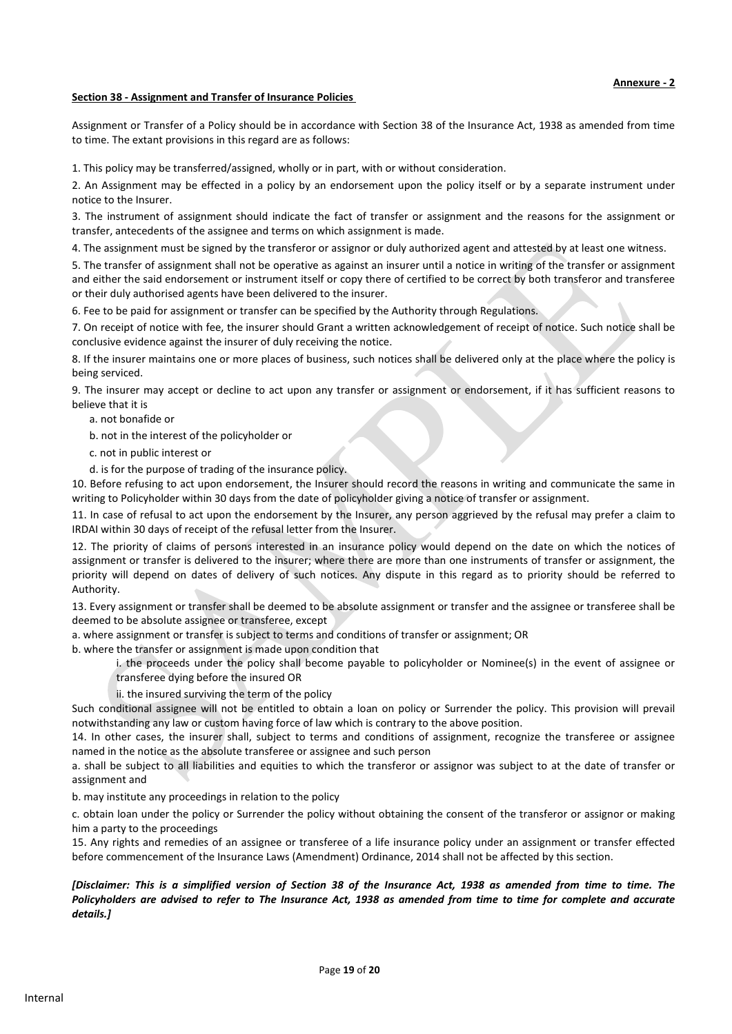#### **Section 38 - Assignment and Transfer of Insurance Policies**

Assignment or Transfer of a Policy should be in accordance with Section 38 of the Insurance Act, 1938 as amended from time to time. The extant provisions in this regard are as follows:

1. This policy may be transferred/assigned, wholly or in part, with or without consideration.

2. An Assignment may be effected in a policy by an endorsement upon the policy itself or by a separate instrument under notice to the Insurer.

3. The instrument of assignment should indicate the fact of transfer or assignment and the reasons for the assignment or transfer, antecedents of the assignee and terms on which assignment is made.

4. The assignment must be signed by the transferor or assignor or duly authorized agent and attested by at least one witness.

5. The transfer of assignment shall not be operative as against an insurer until a notice in writing of the transfer or assignment and either the said endorsement or instrument itself or copy there of certified to be correct by both transferor and transferee or their duly authorised agents have been delivered to the insurer.

6. Fee to be paid for assignment or transfer can be specified by the Authority through Regulations.

7. On receipt of notice with fee, the insurer should Grant a written acknowledgement of receipt of notice. Such notice shall be conclusive evidence against the insurer of duly receiving the notice.

8. If the insurer maintains one or more places of business, such notices shall be delivered only at the place where the policy is being serviced.

9. The insurer may accept or decline to act upon any transfer or assignment or endorsement, if it has sufficient reasons to believe that it is

a. not bonafide or

b. not in the interest of the policyholder or

- c. not in public interest or
- d. is for the purpose of trading of the insurance policy.

10. Before refusing to act upon endorsement, the Insurer should record the reasons in writing and communicate the same in writing to Policyholder within 30 days from the date of policyholder giving a notice of transfer or assignment.

11. In case of refusal to act upon the endorsement by the Insurer, any person aggrieved by the refusal may prefer a claim to IRDAI within 30 days of receipt of the refusal letter from the Insurer.

12. The priority of claims of persons interested in an insurance policy would depend on the date on which the notices of assignment or transfer is delivered to the insurer; where there are more than one instruments of transfer or assignment, the priority will depend on dates of delivery of such notices. Any dispute in this regard as to priority should be referred to Authority.

13. Every assignment or transfer shall be deemed to be absolute assignment or transfer and the assignee or transferee shall be deemed to be absolute assignee or transferee, except

a. where assignment or transfer is subject to terms and conditions of transfer or assignment; OR

b. where the transfer or assignment is made upon condition that

i. the proceeds under the policy shall become payable to policyholder or Nominee(s) in the event of assignee or transferee dying before the insured OR

ii. the insured surviving the term of the policy

Such conditional assignee will not be entitled to obtain a loan on policy or Surrender the policy. This provision will prevail notwithstanding any law or custom having force of law which is contrary to the above position.

14. In other cases, the insurer shall, subject to terms and conditions of assignment, recognize the transferee or assignee named in the notice as the absolute transferee or assignee and such person

a. shall be subject to all liabilities and equities to which the transferor or assignor was subject to at the date of transfer or assignment and

b. may institute any proceedings in relation to the policy

c. obtain loan under the policy or Surrender the policy without obtaining the consent of the transferor or assignor or making him a party to the proceedings

15. Any rights and remedies of an assignee or transferee of a life insurance policy under an assignment or transfer effected before commencement of the Insurance Laws (Amendment) Ordinance, 2014 shall not be affected by this section.

#### *[Disclaimer: This is a simplified version of Section 38 of the Insurance Act, 1938 as amended from time to time. The Policyholders are advised to refer to The Insurance Act, 1938 as amended from time to time for complete and accurate details.]*